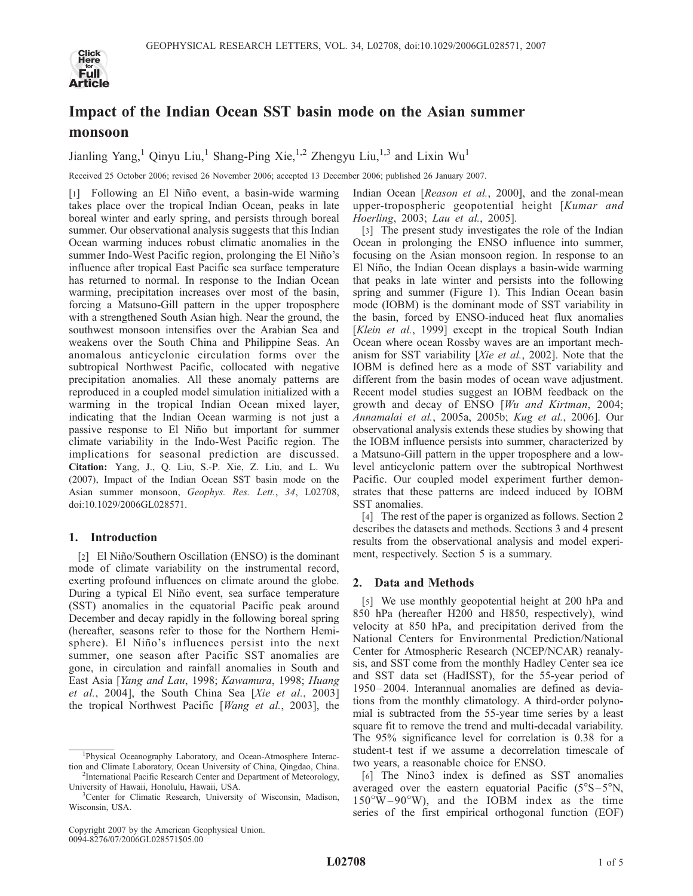

# Impact of the Indian Ocean SST basin mode on the Asian summer monsoon

Jianling Yang,<sup>1</sup> Qinyu Liu,<sup>1</sup> Shang-Ping Xie,<sup>1,2</sup> Zhengyu Liu,<sup>1,3</sup> and Lixin Wu<sup>1</sup>

Received 25 October 2006; revised 26 November 2006; accepted 13 December 2006; published 26 January 2007.

[1] Following an El Niño event, a basin-wide warming takes place over the tropical Indian Ocean, peaks in late boreal winter and early spring, and persists through boreal summer. Our observational analysis suggests that this Indian Ocean warming induces robust climatic anomalies in the summer Indo-West Pacific region, prolonging the El Niño's influence after tropical East Pacific sea surface temperature has returned to normal. In response to the Indian Ocean warming, precipitation increases over most of the basin, forcing a Matsuno-Gill pattern in the upper troposphere with a strengthened South Asian high. Near the ground, the southwest monsoon intensifies over the Arabian Sea and weakens over the South China and Philippine Seas. An anomalous anticyclonic circulation forms over the subtropical Northwest Pacific, collocated with negative precipitation anomalies. All these anomaly patterns are reproduced in a coupled model simulation initialized with a warming in the tropical Indian Ocean mixed layer, indicating that the Indian Ocean warming is not just a passive response to El Niño but important for summer climate variability in the Indo-West Pacific region. The implications for seasonal prediction are discussed. Citation: Yang, J., Q. Liu, S.-P. Xie, Z. Liu, and L. Wu (2007), Impact of the Indian Ocean SST basin mode on the Asian summer monsoon, Geophys. Res. Lett., 34, L02708, doi:10.1029/2006GL028571.

## 1. Introduction

[2] El Niño/Southern Oscillation (ENSO) is the dominant mode of climate variability on the instrumental record, exerting profound influences on climate around the globe. During a typical El Niño event, sea surface temperature (SST) anomalies in the equatorial Pacific peak around December and decay rapidly in the following boreal spring (hereafter, seasons refer to those for the Northern Hemisphere). El Niño's influences persist into the next summer, one season after Pacific SST anomalies are gone, in circulation and rainfall anomalies in South and East Asia [Yang and Lau, 1998; Kawamura, 1998; Huang et al., 2004], the South China Sea [Xie et al., 2003] the tropical Northwest Pacific [Wang et al., 2003], the

Indian Ocean [Reason et al., 2000], and the zonal-mean upper-tropospheric geopotential height [Kumar and Hoerling, 2003; Lau et al., 2005].

[3] The present study investigates the role of the Indian Ocean in prolonging the ENSO influence into summer, focusing on the Asian monsoon region. In response to an El Niño, the Indian Ocean displays a basin-wide warming that peaks in late winter and persists into the following spring and summer (Figure 1). This Indian Ocean basin mode (IOBM) is the dominant mode of SST variability in the basin, forced by ENSO-induced heat flux anomalies [Klein et al., 1999] except in the tropical South Indian Ocean where ocean Rossby waves are an important mechanism for SST variability [Xie et al., 2002]. Note that the IOBM is defined here as a mode of SST variability and different from the basin modes of ocean wave adjustment. Recent model studies suggest an IOBM feedback on the growth and decay of ENSO [Wu and Kirtman, 2004; Annamalai et al., 2005a, 2005b; Kug et al., 2006]. Our observational analysis extends these studies by showing that the IOBM influence persists into summer, characterized by a Matsuno-Gill pattern in the upper troposphere and a lowlevel anticyclonic pattern over the subtropical Northwest Pacific. Our coupled model experiment further demonstrates that these patterns are indeed induced by IOBM SST anomalies.

[4] The rest of the paper is organized as follows. Section 2 describes the datasets and methods. Sections 3 and 4 present results from the observational analysis and model experiment, respectively. Section 5 is a summary.

## 2. Data and Methods

[5] We use monthly geopotential height at 200 hPa and 850 hPa (hereafter H200 and H850, respectively), wind velocity at 850 hPa, and precipitation derived from the National Centers for Environmental Prediction/National Center for Atmospheric Research (NCEP/NCAR) reanalysis, and SST come from the monthly Hadley Center sea ice and SST data set (HadISST), for the 55-year period of 1950– 2004. Interannual anomalies are defined as deviations from the monthly climatology. A third-order polynomial is subtracted from the 55-year time series by a least square fit to remove the trend and multi-decadal variability. The 95% significance level for correlation is 0.38 for a student-t test if we assume a decorrelation timescale of two years, a reasonable choice for ENSO.

[6] The Nino3 index is defined as SST anomalies averaged over the eastern equatorial Pacific  $(5^{\circ}S-5^{\circ}N,$  $150^{\circ}$ W–90°W), and the IOBM index as the time series of the first empirical orthogonal function (EOF)

<sup>&</sup>lt;sup>1</sup>Physical Oceanography Laboratory, and Ocean-Atmosphere Interaction and Climate Laboratory, Ocean University of China, Qingdao, China. <sup>2</sup>  $2$ International Pacific Research Center and Department of Meteorology,

University of Hawaii, Honolulu, Hawaii, USA. <sup>3</sup>

<sup>&</sup>lt;sup>3</sup>Center for Climatic Research, University of Wisconsin, Madison, Wisconsin, USA.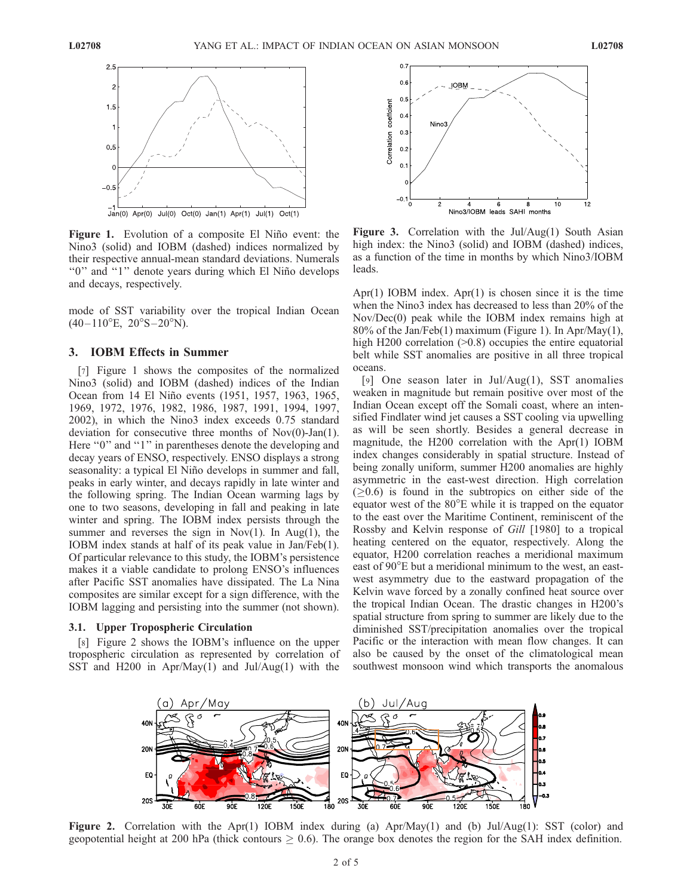

Figure 1. Evolution of a composite El Niño event: the Nino3 (solid) and IOBM (dashed) indices normalized by their respective annual-mean standard deviations. Numerals "0" and "1" denote years during which El Niño develops and decays, respectively.

mode of SST variability over the tropical Indian Ocean  $(40-110^{\circ}E, 20^{\circ}S-20^{\circ}N).$ 

#### 3. IOBM Effects in Summer

[7] Figure 1 shows the composites of the normalized Nino3 (solid) and IOBM (dashed) indices of the Indian Ocean from 14 El Niño events (1951, 1957, 1963, 1965, 1969, 1972, 1976, 1982, 1986, 1987, 1991, 1994, 1997, 2002), in which the Nino3 index exceeds 0.75 standard deviation for consecutive three months of Nov(0)-Jan(1). Here "0" and "1" in parentheses denote the developing and decay years of ENSO, respectively. ENSO displays a strong seasonality: a typical El Niño develops in summer and fall, peaks in early winter, and decays rapidly in late winter and the following spring. The Indian Ocean warming lags by one to two seasons, developing in fall and peaking in late winter and spring. The IOBM index persists through the summer and reverses the sign in  $Nov(1)$ . In  $Aug(1)$ , the IOBM index stands at half of its peak value in Jan/Feb(1). Of particular relevance to this study, the IOBM's persistence makes it a viable candidate to prolong ENSO's influences after Pacific SST anomalies have dissipated. The La Nina composites are similar except for a sign difference, with the IOBM lagging and persisting into the summer (not shown).

#### 3.1. Upper Tropospheric Circulation

[8] Figure 2 shows the IOBM's influence on the upper tropospheric circulation as represented by correlation of SST and H200 in Apr/May(1) and Jul/Aug(1) with the



**Figure 3.** Correlation with the Jul/Aug(1) South Asian high index: the Nino3 (solid) and IOBM (dashed) indices, as a function of the time in months by which Nino3/IOBM leads.

Apr(1) IOBM index. Apr(1) is chosen since it is the time when the Nino3 index has decreased to less than 20% of the Nov/Dec(0) peak while the IOBM index remains high at 80% of the Jan/Feb(1) maximum (Figure 1). In Apr/May(1), high H200 correlation ( $>0.8$ ) occupies the entire equatorial belt while SST anomalies are positive in all three tropical oceans.

[9] One season later in Jul/Aug(1), SST anomalies weaken in magnitude but remain positive over most of the Indian Ocean except off the Somali coast, where an intensified Findlater wind jet causes a SST cooling via upwelling as will be seen shortly. Besides a general decrease in magnitude, the H200 correlation with the Apr(1) IOBM index changes considerably in spatial structure. Instead of being zonally uniform, summer H200 anomalies are highly asymmetric in the east-west direction. High correlation  $(20.6)$  is found in the subtropics on either side of the equator west of the  $80^{\circ}$ E while it is trapped on the equator to the east over the Maritime Continent, reminiscent of the Rossby and Kelvin response of Gill [1980] to a tropical heating centered on the equator, respectively. Along the equator, H200 correlation reaches a meridional maximum east of 90<sup>o</sup>E but a meridional minimum to the west, an eastwest asymmetry due to the eastward propagation of the Kelvin wave forced by a zonally confined heat source over the tropical Indian Ocean. The drastic changes in H200's spatial structure from spring to summer are likely due to the diminished SST/precipitation anomalies over the tropical Pacific or the interaction with mean flow changes. It can also be caused by the onset of the climatological mean southwest monsoon wind which transports the anomalous



Figure 2. Correlation with the Apr(1) IOBM index during (a) Apr/May(1) and (b) Jul/Aug(1): SST (color) and geopotential height at 200 hPa (thick contours  $\geq 0.6$ ). The orange box denotes the region for the SAH index definition.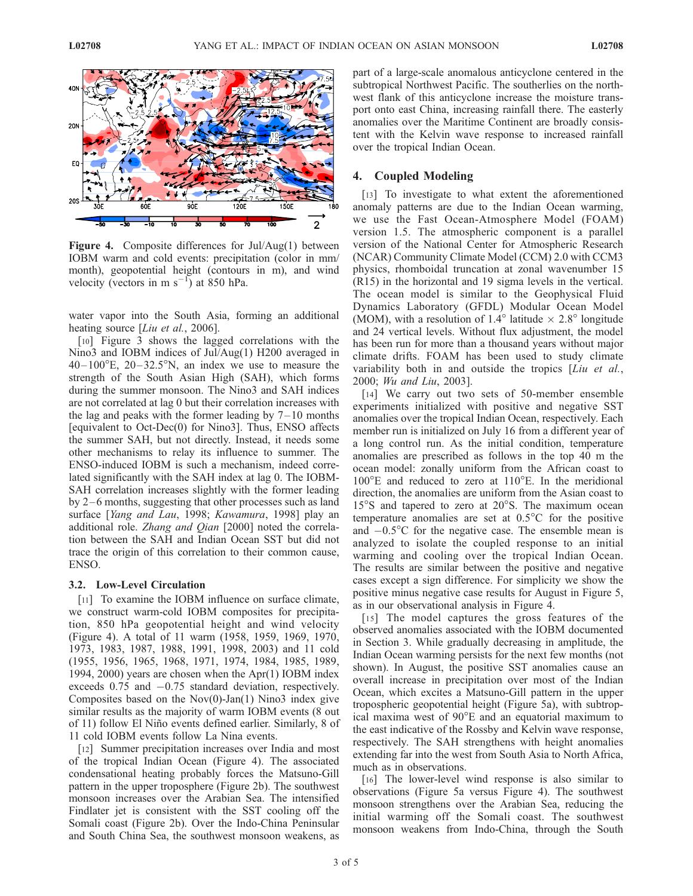

Figure 4. Composite differences for Jul/Aug(1) between IOBM warm and cold events: precipitation (color in mm/ month), geopotential height (contours in m), and wind velocity (vectors in m  $s^{-1}$ ) at 850 hPa.

water vapor into the South Asia, forming an additional heating source [Liu et al., 2006].

[10] Figure 3 shows the lagged correlations with the Nino3 and IOBM indices of Jul/Aug(1) H200 averaged in  $40-100^{\circ}$ E,  $20-32.5^{\circ}$ N, an index we use to measure the strength of the South Asian High (SAH), which forms during the summer monsoon. The Nino3 and SAH indices are not correlated at lag 0 but their correlation increases with the lag and peaks with the former leading by  $7-10$  months [equivalent to Oct-Dec(0) for Nino3]. Thus, ENSO affects the summer SAH, but not directly. Instead, it needs some other mechanisms to relay its influence to summer. The ENSO-induced IOBM is such a mechanism, indeed correlated significantly with the SAH index at lag 0. The IOBM-SAH correlation increases slightly with the former leading by 2–6 months, suggesting that other processes such as land surface [Yang and Lau, 1998; Kawamura, 1998] play an additional role. Zhang and Qian [2000] noted the correlation between the SAH and Indian Ocean SST but did not trace the origin of this correlation to their common cause, ENSO.

#### 3.2. Low-Level Circulation

[11] To examine the IOBM influence on surface climate, we construct warm-cold IOBM composites for precipitation, 850 hPa geopotential height and wind velocity (Figure 4). A total of 11 warm (1958, 1959, 1969, 1970, 1973, 1983, 1987, 1988, 1991, 1998, 2003) and 11 cold (1955, 1956, 1965, 1968, 1971, 1974, 1984, 1985, 1989, 1994, 2000) years are chosen when the Apr(1) IOBM index exceeds  $0.75$  and  $-0.75$  standard deviation, respectively. Composites based on the  $Nov(0)$ -Jan(1) Nino3 index give similar results as the majority of warm IOBM events (8 out of 11) follow El Niño events defined earlier. Similarly, 8 of 11 cold IOBM events follow La Nina events.

[12] Summer precipitation increases over India and most of the tropical Indian Ocean (Figure 4). The associated condensational heating probably forces the Matsuno-Gill pattern in the upper troposphere (Figure 2b). The southwest monsoon increases over the Arabian Sea. The intensified Findlater jet is consistent with the SST cooling off the Somali coast (Figure 2b). Over the Indo-China Peninsular and South China Sea, the southwest monsoon weakens, as

part of a large-scale anomalous anticyclone centered in the subtropical Northwest Pacific. The southerlies on the northwest flank of this anticyclone increase the moisture transport onto east China, increasing rainfall there. The easterly anomalies over the Maritime Continent are broadly consistent with the Kelvin wave response to increased rainfall over the tropical Indian Ocean.

### 4. Coupled Modeling

[13] To investigate to what extent the aforementioned anomaly patterns are due to the Indian Ocean warming, we use the Fast Ocean-Atmosphere Model (FOAM) version 1.5. The atmospheric component is a parallel version of the National Center for Atmospheric Research (NCAR) Community Climate Model (CCM) 2.0 with CCM3 physics, rhomboidal truncation at zonal wavenumber 15 (R15) in the horizontal and 19 sigma levels in the vertical. The ocean model is similar to the Geophysical Fluid Dynamics Laboratory (GFDL) Modular Ocean Model (MOM), with a resolution of 1.4 $\degree$  latitude  $\times$  2.8 $\degree$  longitude and 24 vertical levels. Without flux adjustment, the model has been run for more than a thousand years without major climate drifts. FOAM has been used to study climate variability both in and outside the tropics [*Liu et al.*, 2000; Wu and Liu, 2003].

[14] We carry out two sets of 50-member ensemble experiments initialized with positive and negative SST anomalies over the tropical Indian Ocean, respectively. Each member run is initialized on July 16 from a different year of a long control run. As the initial condition, temperature anomalies are prescribed as follows in the top 40 m the ocean model: zonally uniform from the African coast to  $100^{\circ}$ E and reduced to zero at  $110^{\circ}$ E. In the meridional direction, the anomalies are uniform from the Asian coast to  $15^{\circ}$ S and tapered to zero at  $20^{\circ}$ S. The maximum ocean temperature anomalies are set at  $0.5^{\circ}$ C for the positive and  $-0.5^{\circ}$ C for the negative case. The ensemble mean is analyzed to isolate the coupled response to an initial warming and cooling over the tropical Indian Ocean. The results are similar between the positive and negative cases except a sign difference. For simplicity we show the positive minus negative case results for August in Figure 5, as in our observational analysis in Figure 4.

[15] The model captures the gross features of the observed anomalies associated with the IOBM documented in Section 3. While gradually decreasing in amplitude, the Indian Ocean warming persists for the next few months (not shown). In August, the positive SST anomalies cause an overall increase in precipitation over most of the Indian Ocean, which excites a Matsuno-Gill pattern in the upper tropospheric geopotential height (Figure 5a), with subtropical maxima west of  $90^{\circ}E$  and an equatorial maximum to the east indicative of the Rossby and Kelvin wave response, respectively. The SAH strengthens with height anomalies extending far into the west from South Asia to North Africa, much as in observations.

[16] The lower-level wind response is also similar to observations (Figure 5a versus Figure 4). The southwest monsoon strengthens over the Arabian Sea, reducing the initial warming off the Somali coast. The southwest monsoon weakens from Indo-China, through the South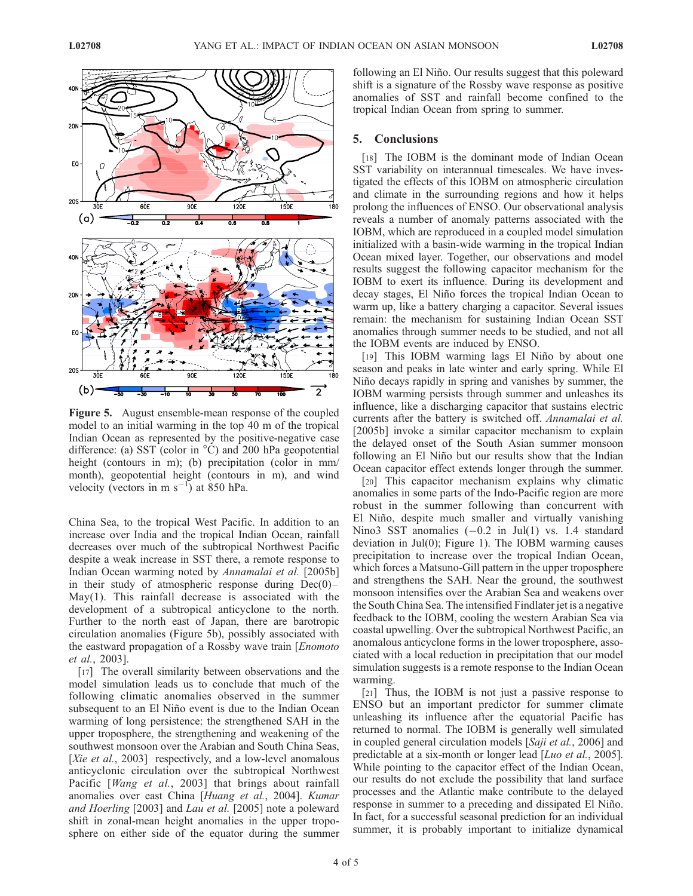

Figure 5. August ensemble-mean response of the coupled model to an initial warming in the top 40 m of the tropical Indian Ocean as represented by the positive-negative case difference: (a) SST (color in  $^{\circ}$ C) and 200 hPa geopotential height (contours in m); (b) precipitation (color in mm/ month), geopotential height (contours in m), and wind velocity (vectors in m  $s^{-1}$ ) at 850 hPa.

China Sea, to the tropical West Pacific. In addition to an increase over India and the tropical Indian Ocean, rainfall decreases over much of the subtropical Northwest Pacific despite a weak increase in SST there, a remote response to Indian Ocean warming noted by Annamalai et al. [2005b] in their study of atmospheric response during  $Dec(0)$  – May(1). This rainfall decrease is associated with the development of a subtropical anticyclone to the north. Further to the north east of Japan, there are barotropic circulation anomalies (Figure 5b), possibly associated with the eastward propagation of a Rossby wave train [Enomoto et al., 2003].

[17] The overall similarity between observations and the model simulation leads us to conclude that much of the following climatic anomalies observed in the summer subsequent to an El Niño event is due to the Indian Ocean warming of long persistence: the strengthened SAH in the upper troposphere, the strengthening and weakening of the southwest monsoon over the Arabian and South China Seas, [Xie et al., 2003] respectively, and a low-level anomalous anticyclonic circulation over the subtropical Northwest Pacific [Wang et al., 2003] that brings about rainfall anomalies over east China [Huang et al., 2004]. Kumar and Hoerling [2003] and Lau et al. [2005] note a poleward shift in zonal-mean height anomalies in the upper troposphere on either side of the equator during the summer

following an El Niño. Our results suggest that this poleward shift is a signature of the Rossby wave response as positive anomalies of SST and rainfall become confined to the tropical Indian Ocean from spring to summer.

## 5. Conclusions

[18] The IOBM is the dominant mode of Indian Ocean SST variability on interannual timescales. We have investigated the effects of this IOBM on atmospheric circulation and climate in the surrounding regions and how it helps prolong the influences of ENSO. Our observational analysis reveals a number of anomaly patterns associated with the IOBM, which are reproduced in a coupled model simulation initialized with a basin-wide warming in the tropical Indian Ocean mixed layer. Together, our observations and model results suggest the following capacitor mechanism for the IOBM to exert its influence. During its development and decay stages, El Niño forces the tropical Indian Ocean to warm up, like a battery charging a capacitor. Several issues remain: the mechanism for sustaining Indian Ocean SST anomalies through summer needs to be studied, and not all the IOBM events are induced by ENSO.

[19] This IOBM warming lags El Niño by about one season and peaks in late winter and early spring. While El Nino decays rapidly in spring and vanishes by summer, the IOBM warming persists through summer and unleashes its influence, like a discharging capacitor that sustains electric currents after the battery is switched off. Annamalai et al. [2005b] invoke a similar capacitor mechanism to explain the delayed onset of the South Asian summer monsoon following an El Niño but our results show that the Indian Ocean capacitor effect extends longer through the summer.

[20] This capacitor mechanism explains why climatic anomalies in some parts of the Indo-Pacific region are more robust in the summer following than concurrent with El Niño, despite much smaller and virtually vanishing Nino3 SST anomalies  $(-0.2 \text{ in Jul}(1) \text{ vs. } 1.4 \text{ standard})$ deviation in Jul(0); Figure 1). The IOBM warming causes precipitation to increase over the tropical Indian Ocean, which forces a Matsuno-Gill pattern in the upper troposphere and strengthens the SAH. Near the ground, the southwest monsoon intensifies over the Arabian Sea and weakens over the South China Sea. The intensified Findlater jet is a negative feedback to the IOBM, cooling the western Arabian Sea via coastal upwelling. Over the subtropical Northwest Pacific, an anomalous anticyclone forms in the lower troposphere, associated with a local reduction in precipitation that our model simulation suggests is a remote response to the Indian Ocean warming.

[21] Thus, the IOBM is not just a passive response to ENSO but an important predictor for summer climate unleashing its influence after the equatorial Pacific has returned to normal. The IOBM is generally well simulated in coupled general circulation models [Saji et al., 2006] and predictable at a six-month or longer lead [*Luo et al.*, 2005]. While pointing to the capacitor effect of the Indian Ocean, our results do not exclude the possibility that land surface processes and the Atlantic make contribute to the delayed response in summer to a preceding and dissipated El Niño. In fact, for a successful seasonal prediction for an individual summer, it is probably important to initialize dynamical